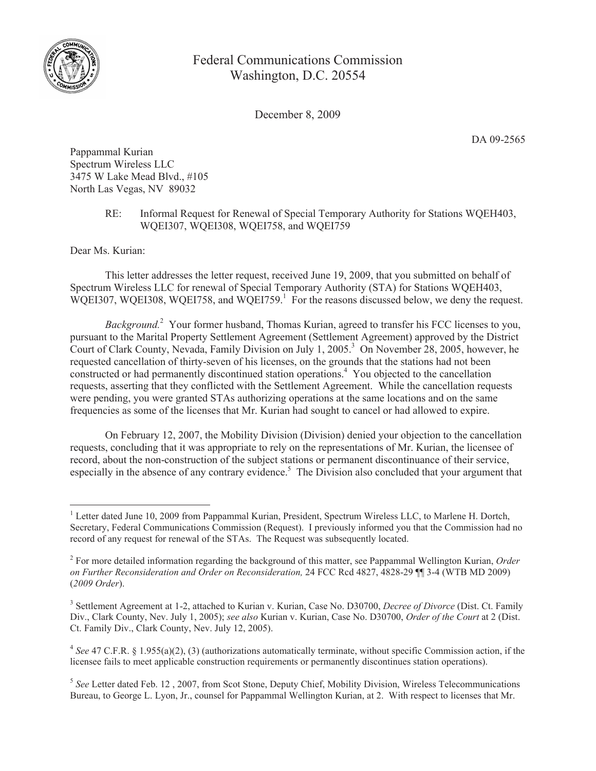

Federal Communications Commission Washington, D.C. 20554

December 8, 2009

DA 09-2565

Pappammal Kurian Spectrum Wireless LLC 3475 W Lake Mead Blvd., #105 North Las Vegas, NV 89032

## RE: Informal Request for Renewal of Special Temporary Authority for Stations WQEH403, WQEI307, WQEI308, WQEI758, and WQEI759

Dear Ms. Kurian:

This letter addresses the letter request, received June 19, 2009, that you submitted on behalf of Spectrum Wireless LLC for renewal of Special Temporary Authority (STA) for Stations WQEH403, WQEI307, WQEI308, WQEI758, and WQEI759.<sup>1</sup> For the reasons discussed below, we deny the request.

*Background.*<sup>2</sup> Your former husband, Thomas Kurian, agreed to transfer his FCC licenses to you, pursuant to the Marital Property Settlement Agreement (Settlement Agreement) approved by the District Court of Clark County, Nevada, Family Division on July 1, 2005.<sup>3</sup> On November 28, 2005, however, he requested cancellation of thirty-seven of his licenses, on the grounds that the stations had not been constructed or had permanently discontinued station operations.<sup>4</sup> You objected to the cancellation requests, asserting that they conflicted with the Settlement Agreement. While the cancellation requests were pending, you were granted STAs authorizing operations at the same locations and on the same frequencies as some of the licenses that Mr. Kurian had sought to cancel or had allowed to expire.

On February 12, 2007, the Mobility Division (Division) denied your objection to the cancellation requests, concluding that it was appropriate to rely on the representations of Mr. Kurian, the licensee of record, about the non-construction of the subject stations or permanent discontinuance of their service, especially in the absence of any contrary evidence.<sup>5</sup> The Division also concluded that your argument that

<sup>&</sup>lt;sup>1</sup> Letter dated June 10, 2009 from Pappammal Kurian, President, Spectrum Wireless LLC, to Marlene H. Dortch, Secretary, Federal Communications Commission (Request). I previously informed you that the Commission had no record of any request for renewal of the STAs. The Request was subsequently located.

<sup>2</sup> For more detailed information regarding the background of this matter, see Pappammal Wellington Kurian, *Order on Further Reconsideration and Order on Reconsideration,* 24 FCC Rcd 4827, 4828-29 ¶¶ 3-4 (WTB MD 2009) (*2009 Order*).

<sup>3</sup> Settlement Agreement at 1-2, attached to Kurian v. Kurian, Case No. D30700, *Decree of Divorce* (Dist. Ct. Family Div., Clark County, Nev. July 1, 2005); *see also* Kurian v. Kurian, Case No. D30700, *Order of the Court* at 2 (Dist. Ct. Family Div., Clark County, Nev. July 12, 2005).

 $4$  See 47 C.F.R. § 1.955(a)(2), (3) (authorizations automatically terminate, without specific Commission action, if the licensee fails to meet applicable construction requirements or permanently discontinues station operations).

<sup>5</sup> *See* Letter dated Feb. 12 , 2007, from Scot Stone, Deputy Chief, Mobility Division, Wireless Telecommunications Bureau, to George L. Lyon, Jr., counsel for Pappammal Wellington Kurian, at 2. With respect to licenses that Mr.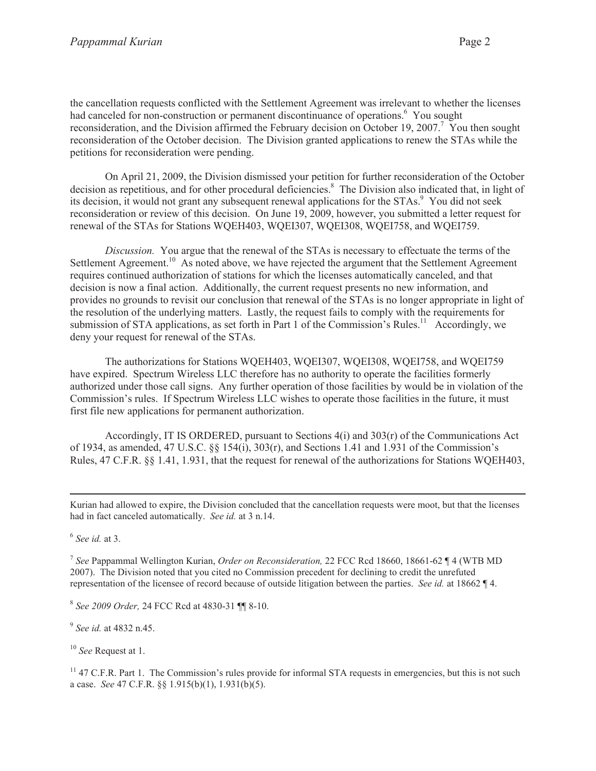the cancellation requests conflicted with the Settlement Agreement was irrelevant to whether the licenses had canceled for non-construction or permanent discontinuance of operations.<sup>6</sup> You sought reconsideration, and the Division affirmed the February decision on October 19, 2007.<sup>7</sup> You then sought reconsideration of the October decision. The Division granted applications to renew the STAs while the petitions for reconsideration were pending.

On April 21, 2009, the Division dismissed your petition for further reconsideration of the October decision as repetitious, and for other procedural deficiencies.<sup>8</sup> The Division also indicated that, in light of its decision, it would not grant any subsequent renewal applications for the STAs.<sup>9</sup> You did not seek reconsideration or review of this decision. On June 19, 2009, however, you submitted a letter request for renewal of the STAs for Stations WQEH403, WQEI307, WQEI308, WQEI758, and WQEI759.

*Discussion.* You argue that the renewal of the STAs is necessary to effectuate the terms of the Settlement Agreement.<sup>10</sup> As noted above, we have rejected the argument that the Settlement Agreement requires continued authorization of stations for which the licenses automatically canceled, and that decision is now a final action. Additionally, the current request presents no new information, and provides no grounds to revisit our conclusion that renewal of the STAs is no longer appropriate in light of the resolution of the underlying matters. Lastly, the request fails to comply with the requirements for submission of STA applications, as set forth in Part 1 of the Commission's Rules.<sup>11</sup> Accordingly, we deny your request for renewal of the STAs.

The authorizations for Stations WQEH403, WQEI307, WQEI308, WQEI758, and WQEI759 have expired. Spectrum Wireless LLC therefore has no authority to operate the facilities formerly authorized under those call signs. Any further operation of those facilities by would be in violation of the Commission's rules. If Spectrum Wireless LLC wishes to operate those facilities in the future, it must first file new applications for permanent authorization.

Accordingly, IT IS ORDERED, pursuant to Sections 4(i) and 303(r) of the Communications Act of 1934, as amended, 47 U.S.C. §§ 154(i), 303(r), and Sections 1.41 and 1.931 of the Commission's Rules, 47 C.F.R. §§ 1.41, 1.931, that the request for renewal of the authorizations for Stations WQEH403,

6 *See id.* at 3.

7 *See* Pappammal Wellington Kurian, *Order on Reconsideration,* 22 FCC Rcd 18660, 18661-62 ¶ 4 (WTB MD 2007). The Division noted that you cited no Commission precedent for declining to credit the unrefuted representation of the licensee of record because of outside litigation between the parties. *See id.* at 18662 ¶ 4.

8 *See 2009 Order,* 24 FCC Rcd at 4830-31 ¶¶ 8-10.

9 *See id.* at 4832 n.45.

<sup>10</sup> *See* Request at 1.

 $11$  47 C.F.R. Part 1. The Commission's rules provide for informal STA requests in emergencies, but this is not such a case. *See* 47 C.F.R. §§ 1.915(b)(1), 1.931(b)(5).

Kurian had allowed to expire, the Division concluded that the cancellation requests were moot, but that the licenses had in fact canceled automatically. *See id.* at 3 n.14.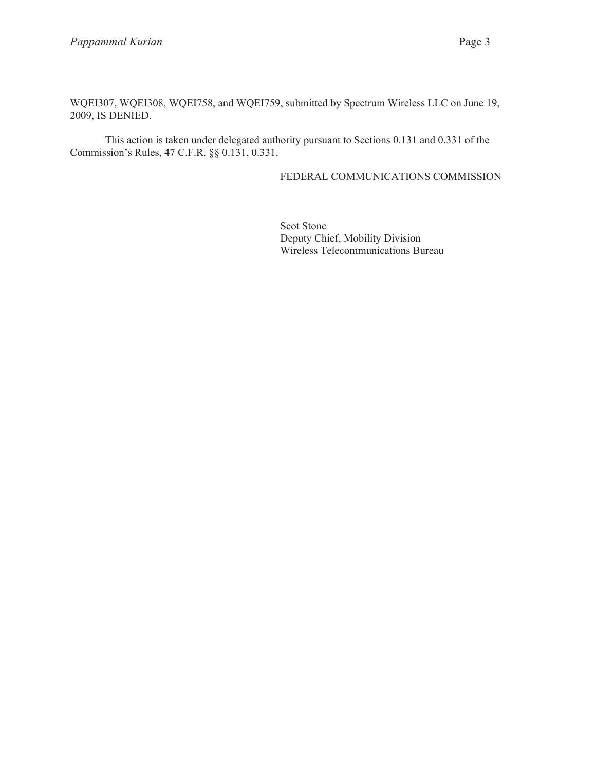WQEI307, WQEI308, WQEI758, and WQEI759, submitted by Spectrum Wireless LLC on June 19, 2009, IS DENIED.

This action is taken under delegated authority pursuant to Sections 0.131 and 0.331 of the Commission's Rules, 47 C.F.R. §§ 0.131, 0.331.

## FEDERAL COMMUNICATIONS COMMISSION

Scot Stone Deputy Chief, Mobility Division Wireless Telecommunications Bureau